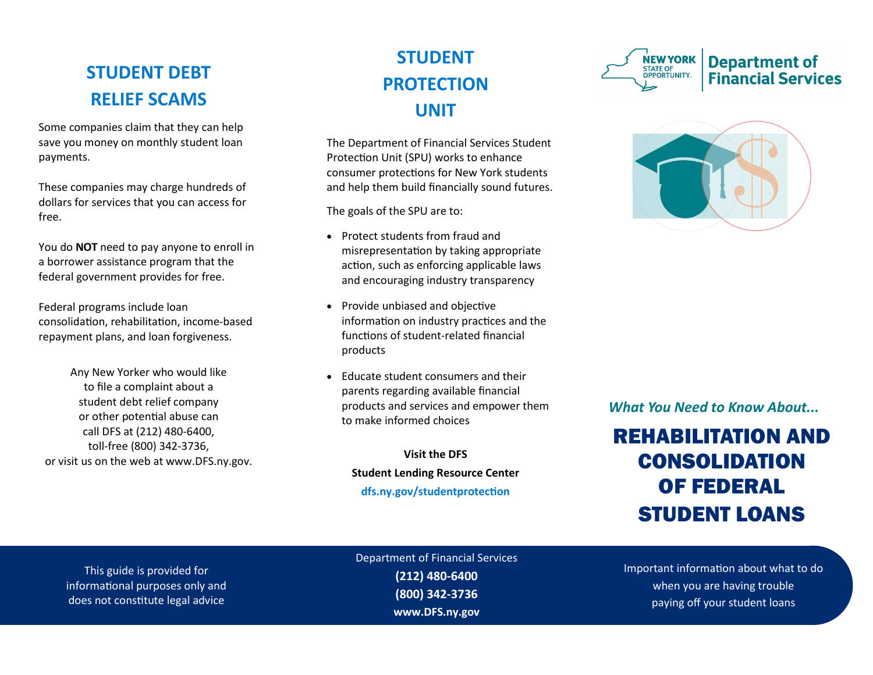### **STUDENT DEBT RELIEF SCAMS**

Some companies claim that they can help save you money on monthly student loan payments.

These companies may charge hundreds of dollars for services that you can access for free.

You do **NOT** need to pay anyone to enroll in a borrower assistance program that the federal government provides for free.

Federal programs include loan consolidation, rehabilitation, income-based repayment plans, and loan forgiveness.

Any New Yorker who would like to file a complaint about a student debt relief company or other potential abuse can call DFS at (212) 480-6400, toll-free (800) 342-3736, or visit us on the web at www.DFS.ny.gov.

## **STUDENT PROTECTION UNIT**

The Department of Financial Services Student Protection Unit (SPU) works to enhance consumer protections for New York students and help them build financially sound futures.

The goals of the SPU are to:

- Protect students from fraud and misrepresentation by taking appropriate action, such as enforcing applicable laws and encouraging industry transparency
- Provide unbiased and objective information on industry practices and the functions of student-related financial products
- Educate student consumers and their parents regarding available financial products and services and empower them to make informed choices

**Visit the DFS Student Lending Resource Center dfs.ny.gov/studentprotection**





*What You Need to Know About...*

# REHABILITATION AND CONSOLIDATION OF FEDERAL STUDENT LOANS

This guide is provided for informational purposes only and does not constitute legal advice

Department of Financial Services **(212) 480-6400 (800) 342-3736 www.DFS.ny.gov**

Important information about what to do when you are having trouble paying off your student loans